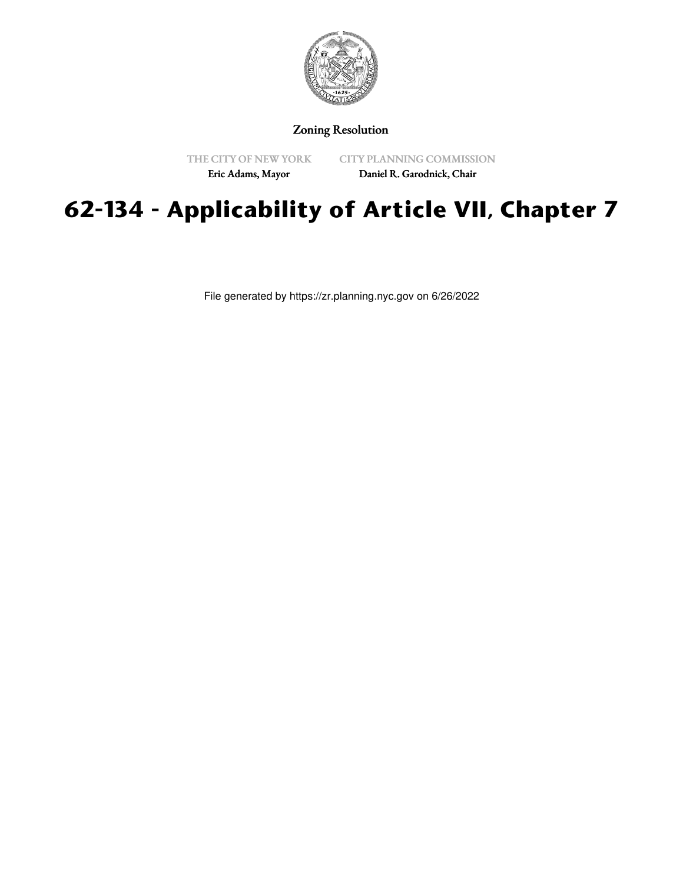

## Zoning Resolution

THE CITY OF NEW YORK Eric Adams, Mayor

CITY PLANNING COMMISSION

Daniel R. Garodnick, Chair

## **62-134 - Applicability of Article VII, Chapter 7**

File generated by https://zr.planning.nyc.gov on 6/26/2022